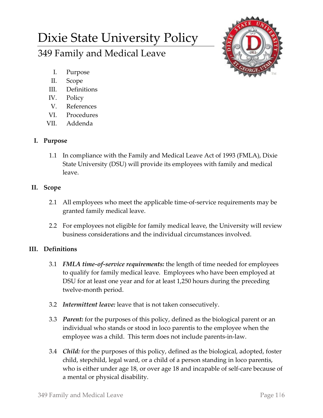# Dixie State University Policy

## 349 Family and Medical Leave



- I. Purpose
- II. Scope
- III. Definitions
- IV. Policy
- V. References
- VI. Procedures
- VII. Addenda

## **I. Purpose**

1.1 In compliance with the Family and Medical Leave Act of 1993 (FMLA), Dixie State University (DSU) will provide its employees with family and medical leave.

## **II. Scope**

- 2.1 All employees who meet the applicable time-of-service requirements may be granted family medical leave.
- 2.2 For employees not eligible for family medical leave, the University will review business considerations and the individual circumstances involved.

## **III. Definitions**

- 3.1 *FMLA time-of-service requirements:* the length of time needed for employees to qualify for family medical leave. Employees who have been employed at DSU for at least one year and for at least 1,250 hours during the preceding twelve-month period.
- 3.2 *Intermittent leave:* leave that is not taken consecutively.
- 3.3 *Parent:* for the purposes of this policy, defined as the biological parent or an individual who stands or stood in loco parentis to the employee when the employee was a child. This term does not include parents-in-law.
- 3.4 *Child:* for the purposes of this policy, defined as the biological, adopted, foster child, stepchild, legal ward, or a child of a person standing in loco parentis, who is either under age 18, or over age 18 and incapable of self-care because of a mental or physical disability.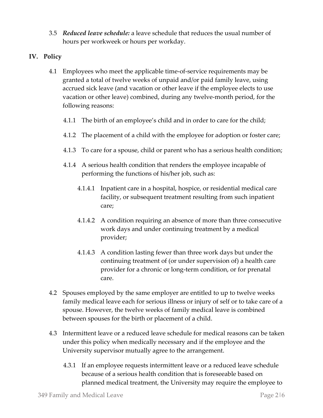- 3.5 *Reduced leave schedule:* a leave schedule that reduces the usual number of hours per workweek or hours per workday.
- **IV. Policy**
	- 4.1 Employees who meet the applicable time-of-service requirements may be granted a total of twelve weeks of unpaid and/or paid family leave, using accrued sick leave (and vacation or other leave if the employee elects to use vacation or other leave) combined, during any twelve-month period, for the following reasons:
		- 4.1.1 The birth of an employee's child and in order to care for the child;
		- 4.1.2 The placement of a child with the employee for adoption or foster care;
		- 4.1.3 To care for a spouse, child or parent who has a serious health condition;
		- 4.1.4 A serious health condition that renders the employee incapable of performing the functions of his/her job, such as:
			- 4.1.4.1 Inpatient care in a hospital, hospice, or residential medical care facility, or subsequent treatment resulting from such inpatient care;
			- 4.1.4.2 A condition requiring an absence of more than three consecutive work days and under continuing treatment by a medical provider;
			- 4.1.4.3 A condition lasting fewer than three work days but under the continuing treatment of (or under supervision of) a health care provider for a chronic or long-term condition, or for prenatal care.
	- 4.2 Spouses employed by the same employer are entitled to up to twelve weeks family medical leave each for serious illness or injury of self or to take care of a spouse. However, the twelve weeks of family medical leave is combined between spouses for the birth or placement of a child.
	- 4.3 Intermittent leave or a reduced leave schedule for medical reasons can be taken under this policy when medically necessary and if the employee and the University supervisor mutually agree to the arrangement.
		- 4.3.1 If an employee requests intermittent leave or a reduced leave schedule because of a serious health condition that is foreseeable based on planned medical treatment, the University may require the employee to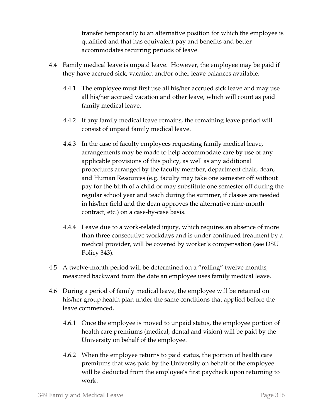transfer temporarily to an alternative position for which the employee is qualified and that has equivalent pay and benefits and better accommodates recurring periods of leave.

- 4.4 Family medical leave is unpaid leave. However, the employee may be paid if they have accrued sick, vacation and/or other leave balances available.
	- 4.4.1 The employee must first use all his/her accrued sick leave and may use all his/her accrued vacation and other leave, which will count as paid family medical leave.
	- 4.4.2 If any family medical leave remains, the remaining leave period will consist of unpaid family medical leave.
	- 4.4.3 In the case of faculty employees requesting family medical leave, arrangements may be made to help accommodate care by use of any applicable provisions of this policy, as well as any additional procedures arranged by the faculty member, department chair, dean, and Human Resources (e.g. faculty may take one semester off without pay for the birth of a child or may substitute one semester off during the regular school year and teach during the summer, if classes are needed in his/her field and the dean approves the alternative nine-month contract, etc.) on a case-by-case basis.
	- 4.4.4 Leave due to a work-related injury, which requires an absence of more than three consecutive workdays and is under continued treatment by a medical provider, will be covered by worker's compensation (see DSU Policy 343).
- 4.5 A twelve-month period will be determined on a "rolling" twelve months, measured backward from the date an employee uses family medical leave.
- 4.6 During a period of family medical leave, the employee will be retained on his/her group health plan under the same conditions that applied before the leave commenced.
	- 4.6.1 Once the employee is moved to unpaid status, the employee portion of health care premiums (medical, dental and vision) will be paid by the University on behalf of the employee.
	- 4.6.2 When the employee returns to paid status, the portion of health care premiums that was paid by the University on behalf of the employee will be deducted from the employee's first paycheck upon returning to work.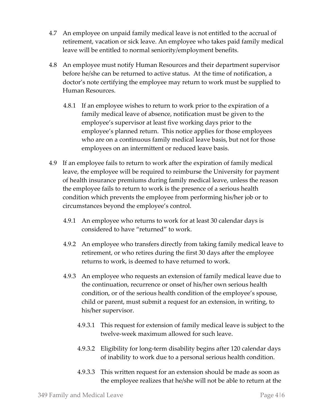- 4.7 An employee on unpaid family medical leave is not entitled to the accrual of retirement, vacation or sick leave. An employee who takes paid family medical leave will be entitled to normal seniority/employment benefits.
- 4.8 An employee must notify Human Resources and their department supervisor before he/she can be returned to active status. At the time of notification, a doctor's note certifying the employee may return to work must be supplied to Human Resources.
	- 4.8.1 If an employee wishes to return to work prior to the expiration of a family medical leave of absence, notification must be given to the employee's supervisor at least five working days prior to the employee's planned return. This notice applies for those employees who are on a continuous family medical leave basis, but not for those employees on an intermittent or reduced leave basis.
- 4.9 If an employee fails to return to work after the expiration of family medical leave, the employee will be required to reimburse the University for payment of health insurance premiums during family medical leave, unless the reason the employee fails to return to work is the presence of a serious health condition which prevents the employee from performing his/her job or to circumstances beyond the employee's control.
	- 4.9.1 An employee who returns to work for at least 30 calendar days is considered to have "returned" to work.
	- 4.9.2 An employee who transfers directly from taking family medical leave to retirement, or who retires during the first 30 days after the employee returns to work, is deemed to have returned to work.
	- 4.9.3 An employee who requests an extension of family medical leave due to the continuation, recurrence or onset of his/her own serious health condition, or of the serious health condition of the employee's spouse, child or parent, must submit a request for an extension, in writing, to his/her supervisor.
		- 4.9.3.1 This request for extension of family medical leave is subject to the twelve-week maximum allowed for such leave.
		- 4.9.3.2 Eligibility for long-term disability begins after 120 calendar days of inability to work due to a personal serious health condition.
		- 4.9.3.3 This written request for an extension should be made as soon as the employee realizes that he/she will not be able to return at the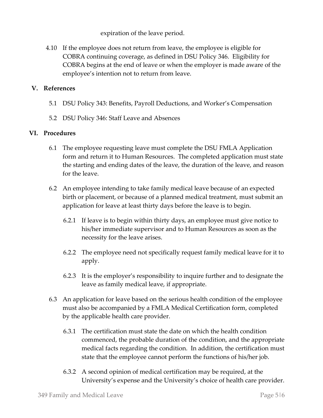expiration of the leave period.

4.10 If the employee does not return from leave, the employee is eligible for COBRA continuing coverage, as defined in DSU Policy 346. Eligibility for COBRA begins at the end of leave or when the employer is made aware of the employee's intention not to return from leave.

#### **V. References**

- 5.1 DSU Policy 343: Benefits, Payroll Deductions, and Worker's Compensation
- 5.2 DSU Policy 346: Staff Leave and Absences

#### **VI. Procedures**

- 6.1 The employee requesting leave must complete the DSU FMLA Application form and return it to Human Resources. The completed application must state the starting and ending dates of the leave, the duration of the leave, and reason for the leave.
- 6.2 An employee intending to take family medical leave because of an expected birth or placement, or because of a planned medical treatment, must submit an application for leave at least thirty days before the leave is to begin.
	- 6.2.1 If leave is to begin within thirty days, an employee must give notice to his/her immediate supervisor and to Human Resources as soon as the necessity for the leave arises.
	- 6.2.2 The employee need not specifically request family medical leave for it to apply.
	- 6.2.3 It is the employer's responsibility to inquire further and to designate the leave as family medical leave, if appropriate.
- 6.3 An application for leave based on the serious health condition of the employee must also be accompanied by a FMLA Medical Certification form, completed by the applicable health care provider.
	- 6.3.1 The certification must state the date on which the health condition commenced, the probable duration of the condition, and the appropriate medical facts regarding the condition. In addition, the certification must state that the employee cannot perform the functions of his/her job.
	- 6.3.2 A second opinion of medical certification may be required, at the University's expense and the University's choice of health care provider.